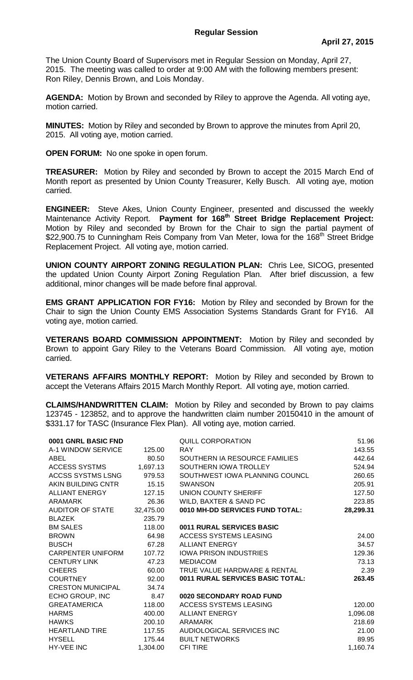The Union County Board of Supervisors met in Regular Session on Monday, April 27, 2015. The meeting was called to order at 9:00 AM with the following members present: Ron Riley, Dennis Brown, and Lois Monday.

**AGENDA:** Motion by Brown and seconded by Riley to approve the Agenda. All voting aye, motion carried.

**MINUTES:** Motion by Riley and seconded by Brown to approve the minutes from April 20, 2015. All voting aye, motion carried.

**OPEN FORUM:** No one spoke in open forum.

**TREASURER:** Motion by Riley and seconded by Brown to accept the 2015 March End of Month report as presented by Union County Treasurer, Kelly Busch. All voting aye, motion carried.

**ENGINEER:** Steve Akes, Union County Engineer, presented and discussed the weekly Maintenance Activity Report. **Payment for 168th Street Bridge Replacement Project:** Motion by Riley and seconded by Brown for the Chair to sign the partial payment of \$22,900.75 to Cunningham Reis Company from Van Meter, Iowa for the 168<sup>th</sup> Street Bridge Replacement Project. All voting aye, motion carried.

**UNION COUNTY AIRPORT ZONING REGULATION PLAN:** Chris Lee, SICOG, presented the updated Union County Airport Zoning Regulation Plan. After brief discussion, a few additional, minor changes will be made before final approval.

**EMS GRANT APPLICATION FOR FY16:** Motion by Riley and seconded by Brown for the Chair to sign the Union County EMS Association Systems Standards Grant for FY16. All voting aye, motion carried.

**VETERANS BOARD COMMISSION APPOINTMENT:** Motion by Riley and seconded by Brown to appoint Gary Riley to the Veterans Board Commission. All voting aye, motion carried.

**VETERANS AFFAIRS MONTHLY REPORT:** Motion by Riley and seconded by Brown to accept the Veterans Affairs 2015 March Monthly Report. All voting aye, motion carried.

**CLAIMS/HANDWRITTEN CLAIM:** Motion by Riley and seconded by Brown to pay claims 123745 - 123852, and to approve the handwritten claim number 20150410 in the amount of \$331.17 for TASC (Insurance Flex Plan). All voting aye, motion carried.

| 0001 GNRL BASIC FND      |           | <b>QUILL CORPORATION</b>         | 51.96     |
|--------------------------|-----------|----------------------------------|-----------|
| A-1 WINDOW SERVICE       | 125.00    | <b>RAY</b>                       | 143.55    |
| ABEL                     | 80.50     | SOUTHERN IA RESOURCE FAMILIES    | 442.64    |
| ACCESS SYSTMS            | 1,697.13  | SOUTHERN IOWA TROLLEY            | 524.94    |
| <b>ACCSS SYSTMS LSNG</b> | 979.53    | SOUTHWEST IOWA PLANNING COUNCL   | 260.65    |
| AKIN BUILDING CNTR       | 15.15     | <b>SWANSON</b>                   | 205.91    |
| ALLIANT ENERGY           | 127.15    | UNION COUNTY SHERIFF             | 127.50    |
| ARAMARK                  | 26.36     | WILD, BAXTER & SAND PC           | 223.85    |
| AUDITOR OF STATE         | 32,475.00 | 0010 MH-DD SERVICES FUND TOTAL:  | 28,299.31 |
| <b>BLAZEK</b>            | 235.79    |                                  |           |
| <b>BM SALES</b>          | 118.00    | 0011 RURAL SERVICES BASIC        |           |
| <b>BROWN</b>             | 64.98     | <b>ACCESS SYSTEMS LEASING</b>    | 24.00     |
| <b>BUSCH</b>             | 67.28     | <b>ALLIANT ENERGY</b>            | 34.57     |
| <b>CARPENTER UNIFORM</b> | 107.72    | <b>IOWA PRISON INDUSTRIES</b>    | 129.36    |
| <b>CENTURY LINK</b>      | 47.23     | <b>MEDIACOM</b>                  | 73.13     |
| <b>CHEERS</b>            | 60.00     | TRUE VALUE HARDWARE & RENTAL     | 2.39      |
| <b>COURTNEY</b>          | 92.00     | 0011 RURAL SERVICES BASIC TOTAL: | 263.45    |
| <b>CRESTON MUNICIPAL</b> | 34.74     |                                  |           |
| ECHO GROUP, INC          | 8.47      | 0020 SECONDARY ROAD FUND         |           |
| <b>GREATAMERICA</b>      | 118.00    | <b>ACCESS SYSTEMS LEASING</b>    | 120.00    |
| <b>HARMS</b>             | 400.00    | <b>ALLIANT ENERGY</b>            | 1,096.08  |
| <b>HAWKS</b>             | 200.10    | ARAMARK                          | 218.69    |
| <b>HEARTLAND TIRE</b>    | 117.55    | AUDIOLOGICAL SERVICES INC        | 21.00     |
| <b>HYSELL</b>            | 175.44    | <b>BUILT NETWORKS</b>            | 89.95     |
| HY-VEE INC               | 1,304.00  | <b>CFI TIRE</b>                  | 1,160.74  |